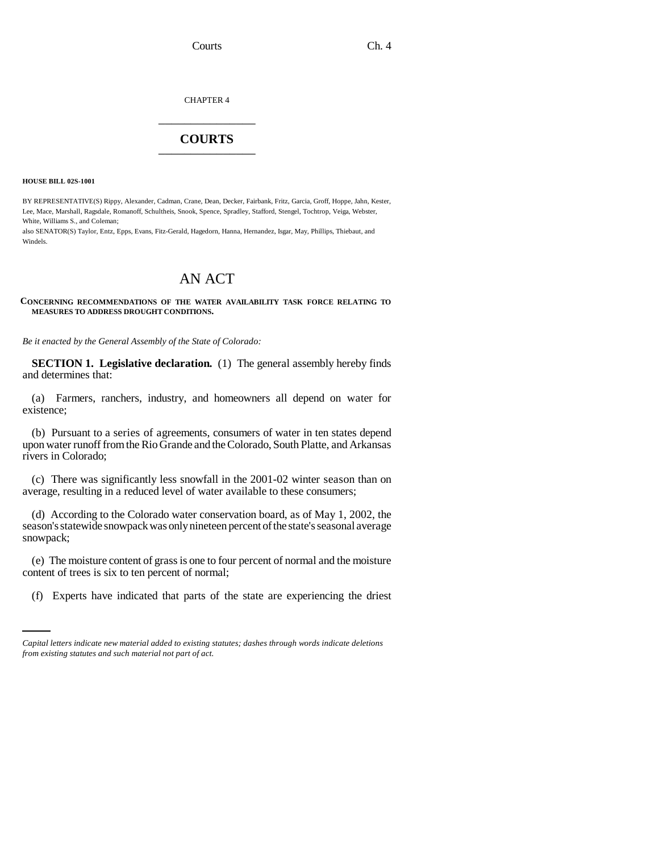Courts Ch. 4

CHAPTER 4 \_\_\_\_\_\_\_\_\_\_\_\_\_\_\_

## **COURTS** \_\_\_\_\_\_\_\_\_\_\_\_\_\_\_

**HOUSE BILL 02S-1001**

BY REPRESENTATIVE(S) Rippy, Alexander, Cadman, Crane, Dean, Decker, Fairbank, Fritz, Garcia, Groff, Hoppe, Jahn, Kester, Lee, Mace, Marshall, Ragsdale, Romanoff, Schultheis, Snook, Spence, Spradley, Stafford, Stengel, Tochtrop, Veiga, Webster, White, Williams S., and Coleman;

also SENATOR(S) Taylor, Entz, Epps, Evans, Fitz-Gerald, Hagedorn, Hanna, Hernandez, Isgar, May, Phillips, Thiebaut, and Windels.

## AN ACT

**CONCERNING RECOMMENDATIONS OF THE WATER AVAILABILITY TASK FORCE RELATING TO MEASURES TO ADDRESS DROUGHT CONDITIONS.**

*Be it enacted by the General Assembly of the State of Colorado:*

**SECTION 1. Legislative declaration.** (1) The general assembly hereby finds and determines that:

(a) Farmers, ranchers, industry, and homeowners all depend on water for existence;

(b) Pursuant to a series of agreements, consumers of water in ten states depend upon water runoff from the Rio Grande and the Colorado, South Platte, and Arkansas rivers in Colorado;

(c) There was significantly less snowfall in the 2001-02 winter season than on average, resulting in a reduced level of water available to these consumers;

(d) According to the Colorado water conservation board, as of May 1, 2002, the season's statewide snowpack was only nineteen percent of the state's seasonal average snowpack;

content of trees is six to ten percent of normal; (e) The moisture content of grass is one to four percent of normal and the moisture

(f) Experts have indicated that parts of the state are experiencing the driest

*Capital letters indicate new material added to existing statutes; dashes through words indicate deletions from existing statutes and such material not part of act.*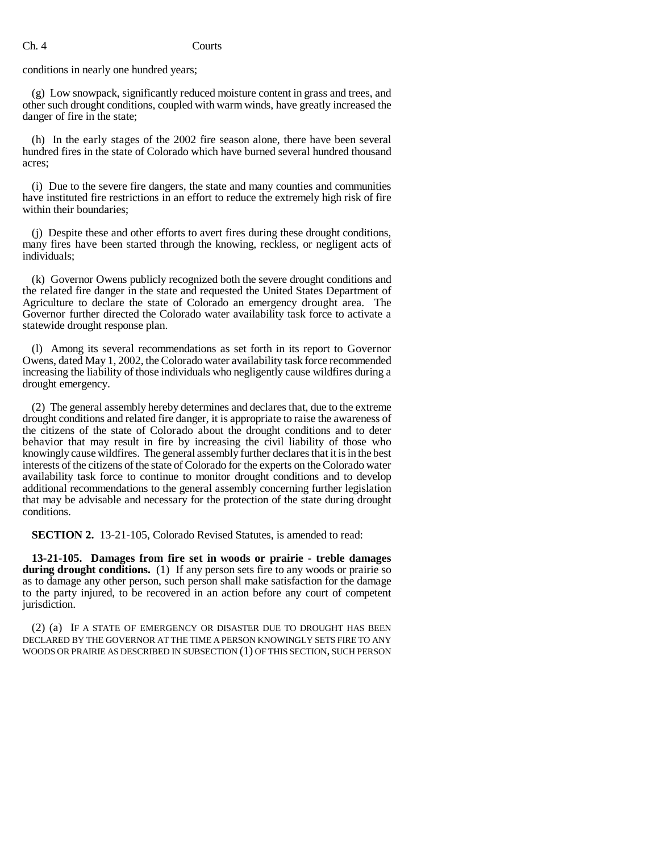## Ch. 4 Courts

conditions in nearly one hundred years;

(g) Low snowpack, significantly reduced moisture content in grass and trees, and other such drought conditions, coupled with warm winds, have greatly increased the danger of fire in the state;

(h) In the early stages of the 2002 fire season alone, there have been several hundred fires in the state of Colorado which have burned several hundred thousand acres;

(i) Due to the severe fire dangers, the state and many counties and communities have instituted fire restrictions in an effort to reduce the extremely high risk of fire within their boundaries;

(j) Despite these and other efforts to avert fires during these drought conditions, many fires have been started through the knowing, reckless, or negligent acts of individuals;

(k) Governor Owens publicly recognized both the severe drought conditions and the related fire danger in the state and requested the United States Department of Agriculture to declare the state of Colorado an emergency drought area. The Governor further directed the Colorado water availability task force to activate a statewide drought response plan.

(l) Among its several recommendations as set forth in its report to Governor Owens, dated May 1, 2002, the Colorado water availability task force recommended increasing the liability of those individuals who negligently cause wildfires during a drought emergency.

(2) The general assembly hereby determines and declares that, due to the extreme drought conditions and related fire danger, it is appropriate to raise the awareness of the citizens of the state of Colorado about the drought conditions and to deter behavior that may result in fire by increasing the civil liability of those who knowingly cause wildfires. The general assembly further declares that it is in the best interests of the citizens of the state of Colorado for the experts on the Colorado water availability task force to continue to monitor drought conditions and to develop additional recommendations to the general assembly concerning further legislation that may be advisable and necessary for the protection of the state during drought conditions.

**SECTION 2.** 13-21-105, Colorado Revised Statutes, is amended to read:

**13-21-105. Damages from fire set in woods or prairie - treble damages during drought conditions.** (1) If any person sets fire to any woods or prairie so as to damage any other person, such person shall make satisfaction for the damage to the party injured, to be recovered in an action before any court of competent jurisdiction.

(2) (a) IF A STATE OF EMERGENCY OR DISASTER DUE TO DROUGHT HAS BEEN DECLARED BY THE GOVERNOR AT THE TIME A PERSON KNOWINGLY SETS FIRE TO ANY WOODS OR PRAIRIE AS DESCRIBED IN SUBSECTION (1) OF THIS SECTION, SUCH PERSON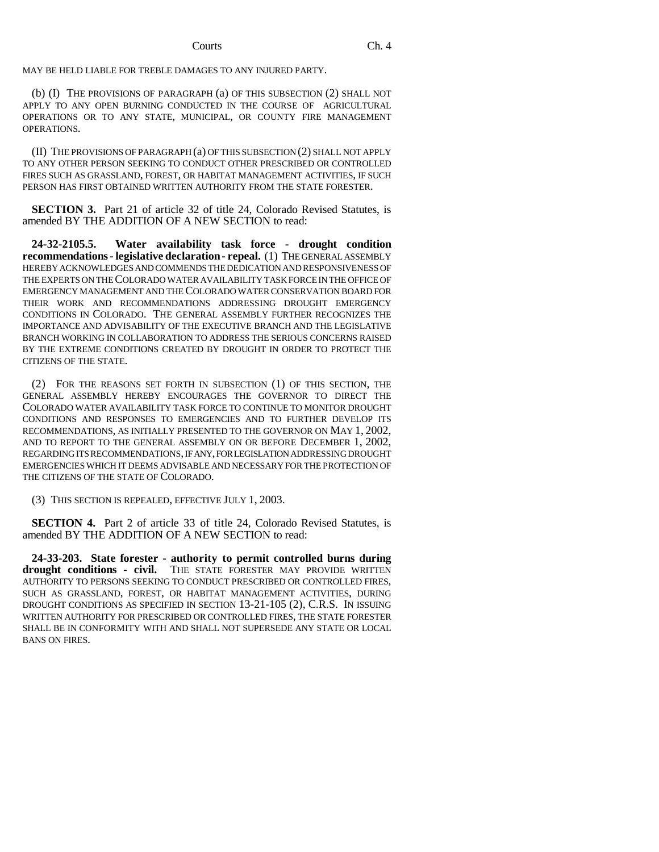Courts Ch. 4

MAY BE HELD LIABLE FOR TREBLE DAMAGES TO ANY INJURED PARTY.

(b) (I) THE PROVISIONS OF PARAGRAPH (a) OF THIS SUBSECTION (2) SHALL NOT APPLY TO ANY OPEN BURNING CONDUCTED IN THE COURSE OF AGRICULTURAL OPERATIONS OR TO ANY STATE, MUNICIPAL, OR COUNTY FIRE MANAGEMENT OPERATIONS.

(II) THE PROVISIONS OF PARAGRAPH (a) OF THIS SUBSECTION (2) SHALL NOT APPLY TO ANY OTHER PERSON SEEKING TO CONDUCT OTHER PRESCRIBED OR CONTROLLED FIRES SUCH AS GRASSLAND, FOREST, OR HABITAT MANAGEMENT ACTIVITIES, IF SUCH PERSON HAS FIRST OBTAINED WRITTEN AUTHORITY FROM THE STATE FORESTER.

**SECTION 3.** Part 21 of article 32 of title 24, Colorado Revised Statutes, is amended BY THE ADDITION OF A NEW SECTION to read:

**24-32-2105.5. Water availability task force - drought condition recommendations - legislative declaration - repeal.** (1) THE GENERAL ASSEMBLY HEREBY ACKNOWLEDGES AND COMMENDS THE DEDICATION AND RESPONSIVENESS OF THE EXPERTS ON THE COLORADO WATER AVAILABILITY TASK FORCE IN THE OFFICE OF EMERGENCY MANAGEMENT AND THE COLORADO WATER CONSERVATION BOARD FOR THEIR WORK AND RECOMMENDATIONS ADDRESSING DROUGHT EMERGENCY CONDITIONS IN COLORADO. THE GENERAL ASSEMBLY FURTHER RECOGNIZES THE IMPORTANCE AND ADVISABILITY OF THE EXECUTIVE BRANCH AND THE LEGISLATIVE BRANCH WORKING IN COLLABORATION TO ADDRESS THE SERIOUS CONCERNS RAISED BY THE EXTREME CONDITIONS CREATED BY DROUGHT IN ORDER TO PROTECT THE CITIZENS OF THE STATE.

(2) FOR THE REASONS SET FORTH IN SUBSECTION (1) OF THIS SECTION, THE GENERAL ASSEMBLY HEREBY ENCOURAGES THE GOVERNOR TO DIRECT THE COLORADO WATER AVAILABILITY TASK FORCE TO CONTINUE TO MONITOR DROUGHT CONDITIONS AND RESPONSES TO EMERGENCIES AND TO FURTHER DEVELOP ITS RECOMMENDATIONS, AS INITIALLY PRESENTED TO THE GOVERNOR ON MAY 1, 2002, AND TO REPORT TO THE GENERAL ASSEMBLY ON OR BEFORE DECEMBER 1, 2002, REGARDING ITS RECOMMENDATIONS, IF ANY, FOR LEGISLATION ADDRESSING DROUGHT EMERGENCIES WHICH IT DEEMS ADVISABLE AND NECESSARY FOR THE PROTECTION OF THE CITIZENS OF THE STATE OF COLORADO.

(3) THIS SECTION IS REPEALED, EFFECTIVE JULY 1, 2003.

**SECTION 4.** Part 2 of article 33 of title 24, Colorado Revised Statutes, is amended BY THE ADDITION OF A NEW SECTION to read:

**24-33-203. State forester - authority to permit controlled burns during drought conditions - civil.** THE STATE FORESTER MAY PROVIDE WRITTEN AUTHORITY TO PERSONS SEEKING TO CONDUCT PRESCRIBED OR CONTROLLED FIRES, SUCH AS GRASSLAND, FOREST, OR HABITAT MANAGEMENT ACTIVITIES, DURING DROUGHT CONDITIONS AS SPECIFIED IN SECTION 13-21-105 (2), C.R.S. IN ISSUING WRITTEN AUTHORITY FOR PRESCRIBED OR CONTROLLED FIRES, THE STATE FORESTER SHALL BE IN CONFORMITY WITH AND SHALL NOT SUPERSEDE ANY STATE OR LOCAL BANS ON FIRES.